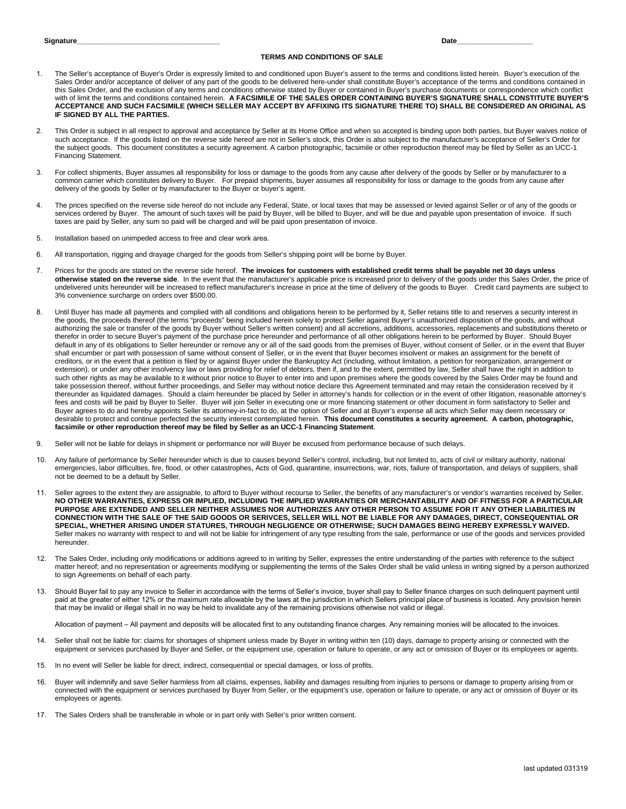## **TERMS AND CONDITIONS OF SALE**

- 1. The Seller's acceptance of Buyer's Order is expressly limited to and conditioned upon Buyer's assent to the terms and conditions listed herein. Buyer's execution of the Sales Order and/or acceptance of deliver of any part of the goods to be delivered here-under shall constitute Buyer's acceptance of the terms and conditions contained in this Sales Order, and the exclusion of any terms and conditions otherwise stated by Buyer or contained in Buyer's purchase documents or correspondence which conflict with of limit the terms and conditions contained herein. **A FACSIMILE OF THE SALES ORDER CONTAINING BUYER'S SIGNATURE SHALL CONSTITUTE BUYER'S ACCEPTANCE AND SUCH FACSIMILE (WHICH SELLER MAY ACCEPT BY AFFIXING ITS SIGNATURE THERE TO) SHALL BE CONSIDERED AN ORIGINAL AS IF SIGNED BY ALL THE PARTIES.**
- 2. This Order is subject in all respect to approval and acceptance by Seller at its Home Office and when so accepted is binding upon both parties, but Buyer waives notice of such acceptance. If the goods listed on the reverse side hereof are not in Seller's stock, this Order is also subject to the manufacturer's acceptance of Seller's Order for the subject goods. This document constitutes a security agreement. A carbon photographic, facsimile or other reproduction thereof may be filed by Seller as an UCC-1 Financing Statement.
- 3. For collect shipments, Buyer assumes all responsibility for loss or damage to the goods from any cause after delivery of the goods by Seller or by manufacturer to a common carrier which constitutes delivery to Buyer. For prepaid shipments, buyer assumes all responsibility for loss or damage to the goods from any cause after delivery of the goods by Seller or by manufacturer to the Buyer or buyer's agent.
- 4. The prices specified on the reverse side hereof do not include any Federal, State, or local taxes that may be assessed or levied against Seller or of any of the goods or services ordered by Buyer. The amount of such taxes will be paid by Buyer, will be billed to Buyer, and will be due and payable upon presentation of invoice. If such taxes are paid by Seller, any sum so paid will be charged and will be paid upon presentation of invoice.
- 5. Installation based on unimpeded access to free and clear work area.
- 6. All transportation, rigging and drayage charged for the goods from Seller's shipping point will be borne by Buyer.
- 7. Prices for the goods are stated on the reverse side hereof. **The invoices for customers with established credit terms shall be payable net 30 days unless otherwise stated on the reverse side**. In the event that the manufacturer's applicable price is increased prior to delivery of the goods under this Sales Order, the price of undelivered units hereunder will be increased to reflect manufacturer's increase in price at the time of delivery of the goods to Buyer. Credit card payments are subject to 3% convenience surcharge on orders over \$500.00.
- 8. Until Buyer has made all payments and complied with all conditions and obligations herein to be performed by it, Seller retains title to and reserves a security interest in the goods, the proceeds thereof (the terms "proceeds" being included herein solely to protect Seller against Buyer's unauthorized disposition of the goods, and without authorizing the sale or transfer of the goods by Buyer without Seller's written consent) and all accretions, additions, accessories, replacements and substitutions thereto or therefor in order to secure Buyer's payment of the purchase price hereunder and performance of all other obligations herein to be performed by Buyer. Should Buyer default in any of its obligations to Seller hereunder or remove any or all of the said goods from the premises of Buyer, without consent of Seller, or in the event that Buyer shall encumber or part with possession of same without consent of Seller, or in the event that Buyer becomes insolvent or makes an assignment for the benefit of creditors, or in the event that a petition is filed by or against Buyer under the Bankruptcy Act (including, without limitation, a petition for reorganization, arrangement or extension), or under any other insolvency law or laws providing for relief of debtors, then if, and to the extent, permitted by law, Seller shall have the right in addition to such other rights as may be available to it without prior notice to Buyer to enter into and upon premises where the goods covered by the Sales Order may be found and take possession thereof, without further proceedings, and Seller may without notice declare this Agreement terminated and may retain the consideration received by it thereunder as liquidated damages. Should a claim hereunder be placed by Seller in attorney's hands for collection or in the event of other litigation, reasonable attorney's fees and costs will be paid by Buyer to Seller. Buyer will join Seller in executing one or more financing statement or other document in form satisfactory to Seller and Buyer agrees to do and hereby appoints Seller its attorney-in-fact to do, at the option of Seller and at Buyer's expense all acts which Seller may deem necessary or desirable to protect and continue perfected the security interest contemplated herein. **This document constitutes a security agreement. A carbon, photographic, facsimile or other reproduction thereof may be filed by Seller as an UCC-1 Financing Statement**.
- 9. Seller will not be liable for delays in shipment or performance nor will Buyer be excused from performance because of such delays.
- 10. Any failure of performance by Seller hereunder which is due to causes beyond Seller's control, including, but not limited to, acts of civil or military authority, national emergencies, labor difficulties, fire, flood, or other catastrophes, Acts of God, quarantine, insurrections, war, riots, failure of transportation, and delays of suppliers, shall not be deemed to be a default by Seller.
- 11. Seller agrees to the extent they are assignable, to afford to Buyer without recourse to Seller, the benefits of any manufacturer's or vendor's warranties received by Seller. **NO OTHER WARRANTIES, EXPRESS OR IMPLIED, INCLUDING THE IMPLIED WARRANTIES OR MERCHANTABILITY AND OF FITNESS FOR A PARTICULAR PURPOSE ARE EXTENDED AND SELLER NEITHER ASSUMES NOR AUTHORIZES ANY OTHER PERSON TO ASSUME FOR IT ANY OTHER LIABILITIES IN CONNECTION WITH THE SALE OF THE SAID GOODS OR SERIVCES, SELLER WILL NOT BE LIABLE FOR ANY DAMAGES, DIRECT, CONSEQUENTIAL OR SPECIAL, WHETHER ARISING UNDER STATURES, THROUGH NEGLIGENCE OR OTHERWISE; SUCH DAMAGES BEING HEREBY EXPRESSLY WAIVED.** Seller makes no warranty with respect to and will not be liable for infringement of any type resulting from the sale, performance or use of the goods and services provided hereunder.
- 12. The Sales Order, including only modifications or additions agreed to in writing by Seller, expresses the entire understanding of the parties with reference to the subject matter hereof; and no representation or agreements modifying or supplementing the terms of the Sales Order shall be valid unless in writing signed by a person authorized to sign Agreements on behalf of each party.
- 13. Should Buyer fail to pay any invoice to Seller in accordance with the terms of Seller's invoice, buyer shall pay to Seller finance charges on such delinquent payment until paid at the greater of either 12% or the maximum rate allowable by the laws at the jurisdiction in which Sellers principal place of business is located. Any provision herein that may be invalid or illegal shall in no way be held to invalidate any of the remaining provisions otherwise not valid or illegal.

Allocation of payment – All payment and deposits will be allocated first to any outstanding finance charges. Any remaining monies will be allocated to the invoices.

- 14. Seller shall not be liable for: claims for shortages of shipment unless made by Buyer in writing within ten (10) days, damage to property arising or connected with the equipment or services purchased by Buyer and Seller, or the equipment use, operation or failure to operate, or any act or omission of Buyer or its employees or agents.
- 15. In no event will Seller be liable for direct, indirect, consequential or special damages, or loss of profits.
- 16. Buyer will indemnify and save Seller harmless from all claims, expenses, liability and damages resulting from injuries to persons or damage to property arising from or connected with the equipment or services purchased by Buyer from Seller, or the equipment's use, operation or failure to operate, or any act or omission of Buyer or its employees or agents.
- 17. The Sales Orders shall be transferable in whole or in part only with Seller's prior written consent.